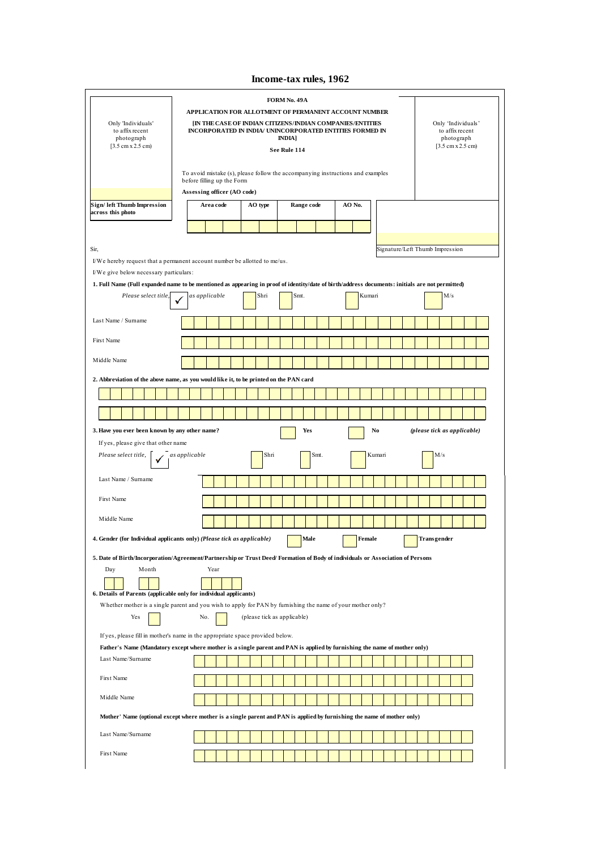# **Income-tax rules, 1962**

| Only 'Individuals'<br>to affix recent<br>photograph<br>$[3.5 \text{ cm} \times 2.5 \text{ cm}]$                                                                                                             | FORM No. 49A<br>APPLICATION FOR ALLOTMENT OF PERMANENT ACCOUNT NUMBER<br>IN THE CASE OF INDIAN CITIZENS/INDIAN COMPANIES/ENTITIES<br>Only 'Individuals'<br>INCORPORATED IN INDIA/ UNINCORPORATED ENTITIES FORMED IN<br>to affix recent<br><b>INDIA</b> ]<br>photograph<br>$[3.5 \text{ cm} \times 2.5 \text{ cm}]$<br>See Rule 114 |  |  |  |  |  |  |  |  |  |
|-------------------------------------------------------------------------------------------------------------------------------------------------------------------------------------------------------------|------------------------------------------------------------------------------------------------------------------------------------------------------------------------------------------------------------------------------------------------------------------------------------------------------------------------------------|--|--|--|--|--|--|--|--|--|
|                                                                                                                                                                                                             | To avoid mistake (s), please follow the accompanying instructions and examples<br>before filling up the Form<br>Assessing officer (AO code)                                                                                                                                                                                        |  |  |  |  |  |  |  |  |  |
| Sign/ left Thumb Impression<br>across this photo                                                                                                                                                            | AO No.<br>Area code<br>AO type<br>Range code                                                                                                                                                                                                                                                                                       |  |  |  |  |  |  |  |  |  |
|                                                                                                                                                                                                             |                                                                                                                                                                                                                                                                                                                                    |  |  |  |  |  |  |  |  |  |
| Sir,<br>I/We give below necessary particulars:                                                                                                                                                              | Signature/Left Thumb Impression<br>I/We hereby request that a permanent account number be allotted to me/us.                                                                                                                                                                                                                       |  |  |  |  |  |  |  |  |  |
|                                                                                                                                                                                                             | 1. Full Name (Full expanded name to be mentioned as appearing in proof of identity/date of birth/address documents: initials are not permitted)                                                                                                                                                                                    |  |  |  |  |  |  |  |  |  |
| Please select title,                                                                                                                                                                                        | as applicable<br>Shri<br>Smt.<br>Kumari<br>M/s                                                                                                                                                                                                                                                                                     |  |  |  |  |  |  |  |  |  |
| Last Name / Surname                                                                                                                                                                                         |                                                                                                                                                                                                                                                                                                                                    |  |  |  |  |  |  |  |  |  |
| First Name                                                                                                                                                                                                  |                                                                                                                                                                                                                                                                                                                                    |  |  |  |  |  |  |  |  |  |
| Middle Name                                                                                                                                                                                                 |                                                                                                                                                                                                                                                                                                                                    |  |  |  |  |  |  |  |  |  |
|                                                                                                                                                                                                             | 2. Abbreviation of the above name, as you would like it, to be printed on the PAN card                                                                                                                                                                                                                                             |  |  |  |  |  |  |  |  |  |
|                                                                                                                                                                                                             |                                                                                                                                                                                                                                                                                                                                    |  |  |  |  |  |  |  |  |  |
|                                                                                                                                                                                                             |                                                                                                                                                                                                                                                                                                                                    |  |  |  |  |  |  |  |  |  |
| 3. Have you ever been known by any other name?<br>Yes<br>No<br>(please tick as applicable)<br>If yes, please give that other name<br>M/s<br>Please select title,<br>as applicable<br>Shri<br>Smt.<br>Kumari |                                                                                                                                                                                                                                                                                                                                    |  |  |  |  |  |  |  |  |  |
|                                                                                                                                                                                                             |                                                                                                                                                                                                                                                                                                                                    |  |  |  |  |  |  |  |  |  |
| Last Name / Surname                                                                                                                                                                                         |                                                                                                                                                                                                                                                                                                                                    |  |  |  |  |  |  |  |  |  |
| First Name                                                                                                                                                                                                  |                                                                                                                                                                                                                                                                                                                                    |  |  |  |  |  |  |  |  |  |
| Middle Name                                                                                                                                                                                                 |                                                                                                                                                                                                                                                                                                                                    |  |  |  |  |  |  |  |  |  |
|                                                                                                                                                                                                             | 4. Gender (for Individual applicants only) (Please tick as applicable)<br>Male<br>Female<br>Transgender                                                                                                                                                                                                                            |  |  |  |  |  |  |  |  |  |
| Month<br>Day                                                                                                                                                                                                | 5. Date of Birth/Incorporation/Agreement/Partnership or Trust Deed/Formation of Body of individuals or Association of Persons<br>Year<br>6. Details of Parents (applicable only for individual applicants)                                                                                                                         |  |  |  |  |  |  |  |  |  |
| Yes                                                                                                                                                                                                         | Whether mother is a single parent and you wish to apply for PAN by furnishing the name of your mother only?<br>No.<br>(please tick as applicable)                                                                                                                                                                                  |  |  |  |  |  |  |  |  |  |
| If yes, please fill in mother's name in the appropriate space provided below.<br>Father's Name (Mandatory except where mother is a single parent and PAN is applied by furnishing the name of mother only)  |                                                                                                                                                                                                                                                                                                                                    |  |  |  |  |  |  |  |  |  |
| Last Name/Surname                                                                                                                                                                                           |                                                                                                                                                                                                                                                                                                                                    |  |  |  |  |  |  |  |  |  |
| First Name                                                                                                                                                                                                  |                                                                                                                                                                                                                                                                                                                                    |  |  |  |  |  |  |  |  |  |
| Middle Name                                                                                                                                                                                                 |                                                                                                                                                                                                                                                                                                                                    |  |  |  |  |  |  |  |  |  |
|                                                                                                                                                                                                             | Mother' Name (optional except where mother is a single parent and PAN is applied by furnishing the name of mother only)                                                                                                                                                                                                            |  |  |  |  |  |  |  |  |  |
| Last Name/Surname                                                                                                                                                                                           |                                                                                                                                                                                                                                                                                                                                    |  |  |  |  |  |  |  |  |  |
| First Name                                                                                                                                                                                                  |                                                                                                                                                                                                                                                                                                                                    |  |  |  |  |  |  |  |  |  |
|                                                                                                                                                                                                             |                                                                                                                                                                                                                                                                                                                                    |  |  |  |  |  |  |  |  |  |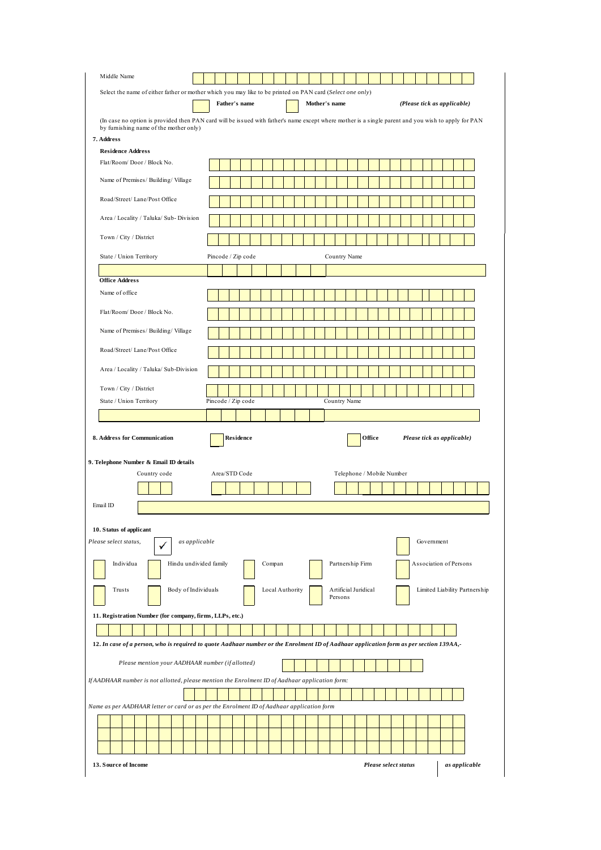| Select the name of either father or mother which you may like to be printed on PAN card (Select one only)<br>Father's name<br>Mother's name<br>(Please tick as applicable)<br>(In case no option is provided then PAN card will be issued with father's name except where mother is a single parent and you wish to apply for PAN<br>by furnishing name of the mother only)<br>7. Address<br><b>Residence Address</b><br>Flat/Room/Door/Block No.<br>Name of Premises/ Building/ Village<br>Road/Street/ Lane/Post Office<br>Area / Locality / Taluka/ Sub-Division<br>Town / City / District<br>Pincode / Zip code<br>State / Union Territory<br>Country Name<br><b>Office Address</b><br>Name of office<br>Flat/Room/Door/Block No<br>Name of Premises/ Building/ Village<br>Road/Street/ Lane/Post Office<br>Area / Locality / Taluka/ Sub-Division<br>Town / City / District<br>Pincode / Zip code<br>Country Name<br>State / Union Territory<br>Residence<br>Office<br>Please tick as applicable)<br>Country code<br>Area/STD Code<br>Telephone / Mobile Number<br>as applicable<br>Government<br>Individua<br>Hindu undivided family<br>Compan<br>Partnership Firm<br>Association of Persons<br>Body of Individuals<br>Artificial Juridical<br>Limited Liability Partnership<br>Trusts<br>Local Authority<br>Persons<br>11. Registration Number (for company, firms, LLPs, etc.)<br>12. In case of a person, who is required to quote Aadhaar number or the Enrolment ID of Aadhaar application form as per section 139AA,-<br>Please mention your AADHAAR number (if allotted)<br>If AADHAAR number is not allotted, please mention the Enrolment ID of Aadhaar application form:<br>Name as per AADHAAR letter or card or as per the Enrolment ID of Aadhaar application form |                                                                        |  |  |  |  |  |  |  |  |  |  |  |  |  |  |
|---------------------------------------------------------------------------------------------------------------------------------------------------------------------------------------------------------------------------------------------------------------------------------------------------------------------------------------------------------------------------------------------------------------------------------------------------------------------------------------------------------------------------------------------------------------------------------------------------------------------------------------------------------------------------------------------------------------------------------------------------------------------------------------------------------------------------------------------------------------------------------------------------------------------------------------------------------------------------------------------------------------------------------------------------------------------------------------------------------------------------------------------------------------------------------------------------------------------------------------------------------------------------------------------------------------------------------------------------------------------------------------------------------------------------------------------------------------------------------------------------------------------------------------------------------------------------------------------------------------------------------------------------------------------------------------------------------------------------------------------------------------------------------------|------------------------------------------------------------------------|--|--|--|--|--|--|--|--|--|--|--|--|--|--|
|                                                                                                                                                                                                                                                                                                                                                                                                                                                                                                                                                                                                                                                                                                                                                                                                                                                                                                                                                                                                                                                                                                                                                                                                                                                                                                                                                                                                                                                                                                                                                                                                                                                                                                                                                                                       |                                                                        |  |  |  |  |  |  |  |  |  |  |  |  |  |  |
|                                                                                                                                                                                                                                                                                                                                                                                                                                                                                                                                                                                                                                                                                                                                                                                                                                                                                                                                                                                                                                                                                                                                                                                                                                                                                                                                                                                                                                                                                                                                                                                                                                                                                                                                                                                       |                                                                        |  |  |  |  |  |  |  |  |  |  |  |  |  |  |
|                                                                                                                                                                                                                                                                                                                                                                                                                                                                                                                                                                                                                                                                                                                                                                                                                                                                                                                                                                                                                                                                                                                                                                                                                                                                                                                                                                                                                                                                                                                                                                                                                                                                                                                                                                                       |                                                                        |  |  |  |  |  |  |  |  |  |  |  |  |  |  |
|                                                                                                                                                                                                                                                                                                                                                                                                                                                                                                                                                                                                                                                                                                                                                                                                                                                                                                                                                                                                                                                                                                                                                                                                                                                                                                                                                                                                                                                                                                                                                                                                                                                                                                                                                                                       |                                                                        |  |  |  |  |  |  |  |  |  |  |  |  |  |  |
|                                                                                                                                                                                                                                                                                                                                                                                                                                                                                                                                                                                                                                                                                                                                                                                                                                                                                                                                                                                                                                                                                                                                                                                                                                                                                                                                                                                                                                                                                                                                                                                                                                                                                                                                                                                       |                                                                        |  |  |  |  |  |  |  |  |  |  |  |  |  |  |
|                                                                                                                                                                                                                                                                                                                                                                                                                                                                                                                                                                                                                                                                                                                                                                                                                                                                                                                                                                                                                                                                                                                                                                                                                                                                                                                                                                                                                                                                                                                                                                                                                                                                                                                                                                                       |                                                                        |  |  |  |  |  |  |  |  |  |  |  |  |  |  |
|                                                                                                                                                                                                                                                                                                                                                                                                                                                                                                                                                                                                                                                                                                                                                                                                                                                                                                                                                                                                                                                                                                                                                                                                                                                                                                                                                                                                                                                                                                                                                                                                                                                                                                                                                                                       |                                                                        |  |  |  |  |  |  |  |  |  |  |  |  |  |  |
|                                                                                                                                                                                                                                                                                                                                                                                                                                                                                                                                                                                                                                                                                                                                                                                                                                                                                                                                                                                                                                                                                                                                                                                                                                                                                                                                                                                                                                                                                                                                                                                                                                                                                                                                                                                       |                                                                        |  |  |  |  |  |  |  |  |  |  |  |  |  |  |
|                                                                                                                                                                                                                                                                                                                                                                                                                                                                                                                                                                                                                                                                                                                                                                                                                                                                                                                                                                                                                                                                                                                                                                                                                                                                                                                                                                                                                                                                                                                                                                                                                                                                                                                                                                                       |                                                                        |  |  |  |  |  |  |  |  |  |  |  |  |  |  |
|                                                                                                                                                                                                                                                                                                                                                                                                                                                                                                                                                                                                                                                                                                                                                                                                                                                                                                                                                                                                                                                                                                                                                                                                                                                                                                                                                                                                                                                                                                                                                                                                                                                                                                                                                                                       |                                                                        |  |  |  |  |  |  |  |  |  |  |  |  |  |  |
|                                                                                                                                                                                                                                                                                                                                                                                                                                                                                                                                                                                                                                                                                                                                                                                                                                                                                                                                                                                                                                                                                                                                                                                                                                                                                                                                                                                                                                                                                                                                                                                                                                                                                                                                                                                       |                                                                        |  |  |  |  |  |  |  |  |  |  |  |  |  |  |
|                                                                                                                                                                                                                                                                                                                                                                                                                                                                                                                                                                                                                                                                                                                                                                                                                                                                                                                                                                                                                                                                                                                                                                                                                                                                                                                                                                                                                                                                                                                                                                                                                                                                                                                                                                                       |                                                                        |  |  |  |  |  |  |  |  |  |  |  |  |  |  |
|                                                                                                                                                                                                                                                                                                                                                                                                                                                                                                                                                                                                                                                                                                                                                                                                                                                                                                                                                                                                                                                                                                                                                                                                                                                                                                                                                                                                                                                                                                                                                                                                                                                                                                                                                                                       |                                                                        |  |  |  |  |  |  |  |  |  |  |  |  |  |  |
|                                                                                                                                                                                                                                                                                                                                                                                                                                                                                                                                                                                                                                                                                                                                                                                                                                                                                                                                                                                                                                                                                                                                                                                                                                                                                                                                                                                                                                                                                                                                                                                                                                                                                                                                                                                       |                                                                        |  |  |  |  |  |  |  |  |  |  |  |  |  |  |
|                                                                                                                                                                                                                                                                                                                                                                                                                                                                                                                                                                                                                                                                                                                                                                                                                                                                                                                                                                                                                                                                                                                                                                                                                                                                                                                                                                                                                                                                                                                                                                                                                                                                                                                                                                                       |                                                                        |  |  |  |  |  |  |  |  |  |  |  |  |  |  |
|                                                                                                                                                                                                                                                                                                                                                                                                                                                                                                                                                                                                                                                                                                                                                                                                                                                                                                                                                                                                                                                                                                                                                                                                                                                                                                                                                                                                                                                                                                                                                                                                                                                                                                                                                                                       |                                                                        |  |  |  |  |  |  |  |  |  |  |  |  |  |  |
|                                                                                                                                                                                                                                                                                                                                                                                                                                                                                                                                                                                                                                                                                                                                                                                                                                                                                                                                                                                                                                                                                                                                                                                                                                                                                                                                                                                                                                                                                                                                                                                                                                                                                                                                                                                       |                                                                        |  |  |  |  |  |  |  |  |  |  |  |  |  |  |
|                                                                                                                                                                                                                                                                                                                                                                                                                                                                                                                                                                                                                                                                                                                                                                                                                                                                                                                                                                                                                                                                                                                                                                                                                                                                                                                                                                                                                                                                                                                                                                                                                                                                                                                                                                                       |                                                                        |  |  |  |  |  |  |  |  |  |  |  |  |  |  |
|                                                                                                                                                                                                                                                                                                                                                                                                                                                                                                                                                                                                                                                                                                                                                                                                                                                                                                                                                                                                                                                                                                                                                                                                                                                                                                                                                                                                                                                                                                                                                                                                                                                                                                                                                                                       |                                                                        |  |  |  |  |  |  |  |  |  |  |  |  |  |  |
|                                                                                                                                                                                                                                                                                                                                                                                                                                                                                                                                                                                                                                                                                                                                                                                                                                                                                                                                                                                                                                                                                                                                                                                                                                                                                                                                                                                                                                                                                                                                                                                                                                                                                                                                                                                       |                                                                        |  |  |  |  |  |  |  |  |  |  |  |  |  |  |
|                                                                                                                                                                                                                                                                                                                                                                                                                                                                                                                                                                                                                                                                                                                                                                                                                                                                                                                                                                                                                                                                                                                                                                                                                                                                                                                                                                                                                                                                                                                                                                                                                                                                                                                                                                                       |                                                                        |  |  |  |  |  |  |  |  |  |  |  |  |  |  |
|                                                                                                                                                                                                                                                                                                                                                                                                                                                                                                                                                                                                                                                                                                                                                                                                                                                                                                                                                                                                                                                                                                                                                                                                                                                                                                                                                                                                                                                                                                                                                                                                                                                                                                                                                                                       | 8. Address for Communication<br>9. Telephone Number & Email ID details |  |  |  |  |  |  |  |  |  |  |  |  |  |  |
|                                                                                                                                                                                                                                                                                                                                                                                                                                                                                                                                                                                                                                                                                                                                                                                                                                                                                                                                                                                                                                                                                                                                                                                                                                                                                                                                                                                                                                                                                                                                                                                                                                                                                                                                                                                       |                                                                        |  |  |  |  |  |  |  |  |  |  |  |  |  |  |
|                                                                                                                                                                                                                                                                                                                                                                                                                                                                                                                                                                                                                                                                                                                                                                                                                                                                                                                                                                                                                                                                                                                                                                                                                                                                                                                                                                                                                                                                                                                                                                                                                                                                                                                                                                                       |                                                                        |  |  |  |  |  |  |  |  |  |  |  |  |  |  |
|                                                                                                                                                                                                                                                                                                                                                                                                                                                                                                                                                                                                                                                                                                                                                                                                                                                                                                                                                                                                                                                                                                                                                                                                                                                                                                                                                                                                                                                                                                                                                                                                                                                                                                                                                                                       |                                                                        |  |  |  |  |  |  |  |  |  |  |  |  |  |  |
|                                                                                                                                                                                                                                                                                                                                                                                                                                                                                                                                                                                                                                                                                                                                                                                                                                                                                                                                                                                                                                                                                                                                                                                                                                                                                                                                                                                                                                                                                                                                                                                                                                                                                                                                                                                       |                                                                        |  |  |  |  |  |  |  |  |  |  |  |  |  |  |
|                                                                                                                                                                                                                                                                                                                                                                                                                                                                                                                                                                                                                                                                                                                                                                                                                                                                                                                                                                                                                                                                                                                                                                                                                                                                                                                                                                                                                                                                                                                                                                                                                                                                                                                                                                                       |                                                                        |  |  |  |  |  |  |  |  |  |  |  |  |  |  |
|                                                                                                                                                                                                                                                                                                                                                                                                                                                                                                                                                                                                                                                                                                                                                                                                                                                                                                                                                                                                                                                                                                                                                                                                                                                                                                                                                                                                                                                                                                                                                                                                                                                                                                                                                                                       |                                                                        |  |  |  |  |  |  |  |  |  |  |  |  |  |  |
|                                                                                                                                                                                                                                                                                                                                                                                                                                                                                                                                                                                                                                                                                                                                                                                                                                                                                                                                                                                                                                                                                                                                                                                                                                                                                                                                                                                                                                                                                                                                                                                                                                                                                                                                                                                       |                                                                        |  |  |  |  |  |  |  |  |  |  |  |  |  |  |
|                                                                                                                                                                                                                                                                                                                                                                                                                                                                                                                                                                                                                                                                                                                                                                                                                                                                                                                                                                                                                                                                                                                                                                                                                                                                                                                                                                                                                                                                                                                                                                                                                                                                                                                                                                                       |                                                                        |  |  |  |  |  |  |  |  |  |  |  |  |  |  |
|                                                                                                                                                                                                                                                                                                                                                                                                                                                                                                                                                                                                                                                                                                                                                                                                                                                                                                                                                                                                                                                                                                                                                                                                                                                                                                                                                                                                                                                                                                                                                                                                                                                                                                                                                                                       |                                                                        |  |  |  |  |  |  |  |  |  |  |  |  |  |  |
|                                                                                                                                                                                                                                                                                                                                                                                                                                                                                                                                                                                                                                                                                                                                                                                                                                                                                                                                                                                                                                                                                                                                                                                                                                                                                                                                                                                                                                                                                                                                                                                                                                                                                                                                                                                       |                                                                        |  |  |  |  |  |  |  |  |  |  |  |  |  |  |
|                                                                                                                                                                                                                                                                                                                                                                                                                                                                                                                                                                                                                                                                                                                                                                                                                                                                                                                                                                                                                                                                                                                                                                                                                                                                                                                                                                                                                                                                                                                                                                                                                                                                                                                                                                                       |                                                                        |  |  |  |  |  |  |  |  |  |  |  |  |  |  |
|                                                                                                                                                                                                                                                                                                                                                                                                                                                                                                                                                                                                                                                                                                                                                                                                                                                                                                                                                                                                                                                                                                                                                                                                                                                                                                                                                                                                                                                                                                                                                                                                                                                                                                                                                                                       |                                                                        |  |  |  |  |  |  |  |  |  |  |  |  |  |  |
|                                                                                                                                                                                                                                                                                                                                                                                                                                                                                                                                                                                                                                                                                                                                                                                                                                                                                                                                                                                                                                                                                                                                                                                                                                                                                                                                                                                                                                                                                                                                                                                                                                                                                                                                                                                       |                                                                        |  |  |  |  |  |  |  |  |  |  |  |  |  |  |
|                                                                                                                                                                                                                                                                                                                                                                                                                                                                                                                                                                                                                                                                                                                                                                                                                                                                                                                                                                                                                                                                                                                                                                                                                                                                                                                                                                                                                                                                                                                                                                                                                                                                                                                                                                                       |                                                                        |  |  |  |  |  |  |  |  |  |  |  |  |  |  |
|                                                                                                                                                                                                                                                                                                                                                                                                                                                                                                                                                                                                                                                                                                                                                                                                                                                                                                                                                                                                                                                                                                                                                                                                                                                                                                                                                                                                                                                                                                                                                                                                                                                                                                                                                                                       |                                                                        |  |  |  |  |  |  |  |  |  |  |  |  |  |  |
|                                                                                                                                                                                                                                                                                                                                                                                                                                                                                                                                                                                                                                                                                                                                                                                                                                                                                                                                                                                                                                                                                                                                                                                                                                                                                                                                                                                                                                                                                                                                                                                                                                                                                                                                                                                       |                                                                        |  |  |  |  |  |  |  |  |  |  |  |  |  |  |
|                                                                                                                                                                                                                                                                                                                                                                                                                                                                                                                                                                                                                                                                                                                                                                                                                                                                                                                                                                                                                                                                                                                                                                                                                                                                                                                                                                                                                                                                                                                                                                                                                                                                                                                                                                                       | Email ID<br>10. Status of applicant<br>Please select status,           |  |  |  |  |  |  |  |  |  |  |  |  |  |  |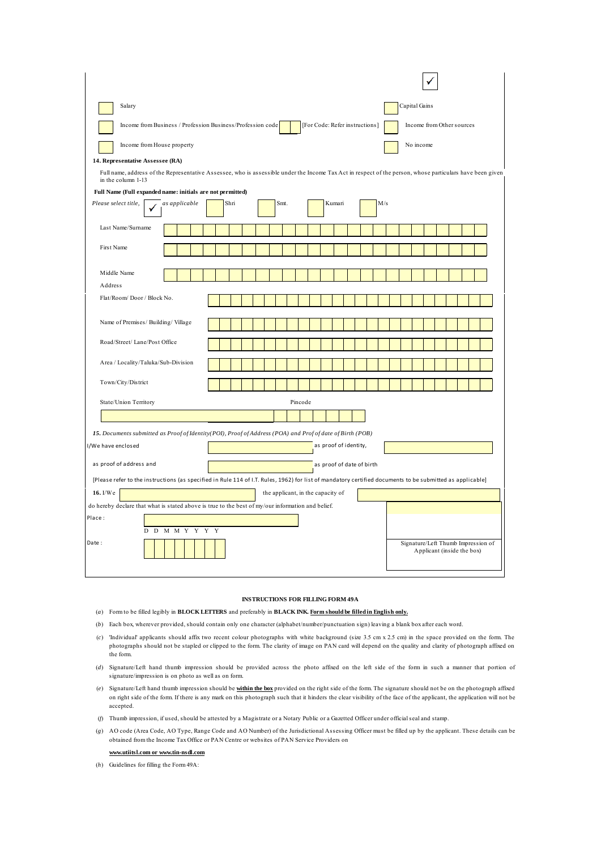| Salary                                                                                                                                                    |      |         |                           | Capital Gains                                                                                                                                             |  |  |  |
|-----------------------------------------------------------------------------------------------------------------------------------------------------------|------|---------|---------------------------|-----------------------------------------------------------------------------------------------------------------------------------------------------------|--|--|--|
| Income from Business / Profession Business/Profession code<br>[For Code: Refer instructions]<br>Income from Other sources                                 |      |         |                           |                                                                                                                                                           |  |  |  |
| Income from House property                                                                                                                                |      |         |                           | No income                                                                                                                                                 |  |  |  |
| 14. Representative Assessee (RA)                                                                                                                          |      |         |                           |                                                                                                                                                           |  |  |  |
| in the column 1-13                                                                                                                                        |      |         |                           | Full name, address of the Representative Assessee, who is assessible under the Income Tax Act in respect of the person, whose particulars have been given |  |  |  |
| Full Name (Full expanded name: initials are not permitted)                                                                                                |      |         |                           |                                                                                                                                                           |  |  |  |
| Please select title,<br>as applicable                                                                                                                     | Shri | Smt.    | Kumari<br>M/s             |                                                                                                                                                           |  |  |  |
| Last Name/Surname                                                                                                                                         |      |         |                           |                                                                                                                                                           |  |  |  |
| <b>First Name</b>                                                                                                                                         |      |         |                           |                                                                                                                                                           |  |  |  |
| Middle Name                                                                                                                                               |      |         |                           |                                                                                                                                                           |  |  |  |
| Address                                                                                                                                                   |      |         |                           |                                                                                                                                                           |  |  |  |
| Flat/Room/Door/Block No.                                                                                                                                  |      |         |                           |                                                                                                                                                           |  |  |  |
| Name of Premises/Building/Village                                                                                                                         |      |         |                           |                                                                                                                                                           |  |  |  |
| Road/Street/ Lane/Post Office                                                                                                                             |      |         |                           |                                                                                                                                                           |  |  |  |
| Area / Locality/Taluka/Sub-Division                                                                                                                       |      |         |                           |                                                                                                                                                           |  |  |  |
| Town/City/District                                                                                                                                        |      |         |                           |                                                                                                                                                           |  |  |  |
| State/Union Territory                                                                                                                                     |      | Pincode |                           |                                                                                                                                                           |  |  |  |
|                                                                                                                                                           |      |         |                           |                                                                                                                                                           |  |  |  |
| 15. Documents submitted as Proof of Identity (POI), Proof of Address (POA) and Prof of date of Birth (POB)                                                |      |         |                           |                                                                                                                                                           |  |  |  |
| I/We have enclosed                                                                                                                                        |      |         | as proof of identity,     |                                                                                                                                                           |  |  |  |
| as proof of address and                                                                                                                                   |      |         | as proof of date of birth |                                                                                                                                                           |  |  |  |
| [Please refer to the instructions (as specified in Rule 114 of I.T. Rules, 1962) for list of mandatory certified documents to be submitted as applicable] |      |         |                           |                                                                                                                                                           |  |  |  |
| 16. I/We<br>the applicant, in the capacity of                                                                                                             |      |         |                           |                                                                                                                                                           |  |  |  |
| do hereby declare that what is stated above is true to the best of my/our information and belief.                                                         |      |         |                           |                                                                                                                                                           |  |  |  |
| Place:<br>D D M M Y Y Y Y                                                                                                                                 |      |         |                           |                                                                                                                                                           |  |  |  |
| Date:                                                                                                                                                     |      |         |                           | Signature/Left Thumb Impression of<br>Applicant (inside the box)                                                                                          |  |  |  |

#### **INSTRUCTIONS FOR FILLING FORM 49A**

- (*a*) Form to be filled legibly in **BLOCK LETTERS** and preferably in **BLACK INK. Form should be filled in English only.**
- (*b*) Each box, wherever provided, should contain only one character (alphabet/number/punctuation sign) leaving a blank box after each word.
- (*c*) 'Individual' applicants should affix two recent colour photographs with white background (size 3.5 cm x 2.5 cm) in the space provided on the form. The photographs should not be stapled or clipped to the form. The clarity of image on PAN card will depend on the quality and clarity of photograph affixed on the form.
- (*d*) Signature/Left hand thumb impression should be provided across the photo affixed on the left side of the form in such a manner that portion of signature/impression is on photo as well as on form.
- (*e*) Signature/Left hand thumb impression should be **within the box** provided on the right side of the form. The signature should not be on the photograph affixed on right side of the form. If there is any mark on this photograph such that it hinders the clear visibility of the face of the applicant, the application will not be accepted.
- (*f*) Thumb impression, if used, should be attested by a Magistrate or a Notary Public or a Gazetted Officer under official seal and stamp.
- (*g*) AO code (Area Code, AO Type, Range Code and AO Number) of the Jurisdictional Assessing Officer must be filled up by the applicant. These details can be obtained from the Income Tax Office or PAN Centre or websites of PAN Service Providers on

#### **www.utiitsl.com or www.tin-nsdl.com**

(*h*) Guidelines for filling the Form 49A: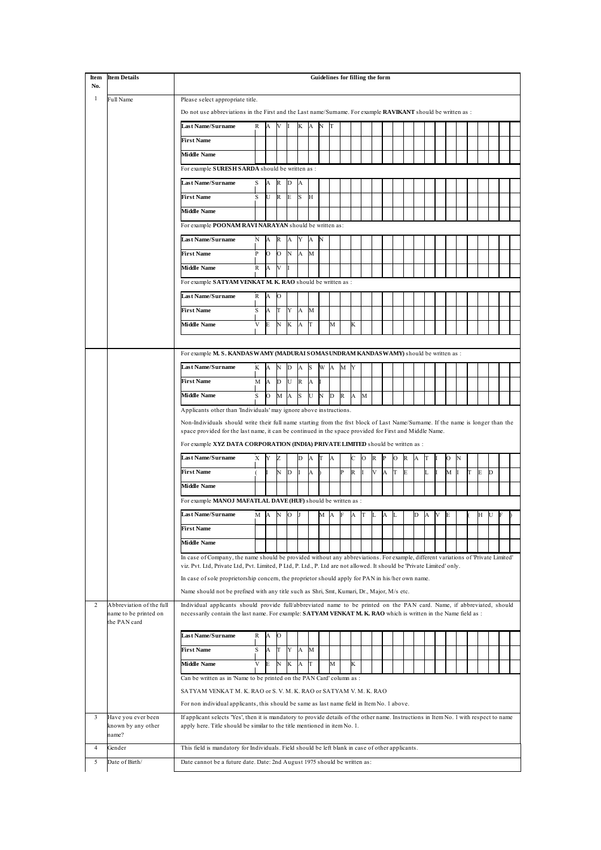| Item     | <b>Item Details</b>                                               |                                                                                                                                                                                                                                                                                                                             | Guidelines for filling the form |         |              |              |              |    |            |    |              |              |   |   |   |   |              |   |   |   |   |   |   |   |  |
|----------|-------------------------------------------------------------------|-----------------------------------------------------------------------------------------------------------------------------------------------------------------------------------------------------------------------------------------------------------------------------------------------------------------------------|---------------------------------|---------|--------------|--------------|--------------|----|------------|----|--------------|--------------|---|---|---|---|--------------|---|---|---|---|---|---|---|--|
| No.<br>1 | <b>Full Name</b>                                                  |                                                                                                                                                                                                                                                                                                                             |                                 |         |              |              |              |    |            |    |              |              |   |   |   |   |              |   |   |   |   |   |   |   |  |
|          |                                                                   | Please select appropriate title.<br>Do not use abbreviations in the First and the Last name/Surname. For example <b>RAVIKANT</b> should be written as :                                                                                                                                                                     |                                 |         |              |              |              |    |            |    |              |              |   |   |   |   |              |   |   |   |   |   |   |   |  |
|          |                                                                   | <b>Last Name/Surname</b>                                                                                                                                                                                                                                                                                                    | R                               | A       | V            |              | K            | A  | N          | IT |              |              |   |   |   |   |              |   |   |   |   |   |   |   |  |
|          |                                                                   | <b>First Name</b>                                                                                                                                                                                                                                                                                                           |                                 |         |              |              |              |    |            |    |              |              |   |   |   |   |              |   |   |   |   |   |   |   |  |
|          |                                                                   |                                                                                                                                                                                                                                                                                                                             |                                 |         |              |              |              |    |            |    |              |              |   |   |   |   |              |   |   |   |   |   |   |   |  |
|          |                                                                   | <b>Middle Name</b>                                                                                                                                                                                                                                                                                                          |                                 |         |              |              |              |    |            |    |              |              |   |   |   |   |              |   |   |   |   |   |   |   |  |
|          |                                                                   | For example SURESH SARDA should be written as :                                                                                                                                                                                                                                                                             |                                 |         |              |              |              |    |            |    |              |              |   |   |   |   |              |   |   |   |   |   |   |   |  |
|          |                                                                   | <b>Last Name/Surname</b>                                                                                                                                                                                                                                                                                                    |                                 | А       | R            | D            | А            |    |            |    |              |              |   |   |   |   |              |   |   |   |   |   |   |   |  |
|          |                                                                   | <b>First Name</b>                                                                                                                                                                                                                                                                                                           |                                 | U       | R            | E            | S            | H  |            |    |              |              |   |   |   |   |              |   |   |   |   |   |   |   |  |
|          |                                                                   | <b>Middle Name</b>                                                                                                                                                                                                                                                                                                          |                                 |         |              |              |              |    |            |    |              |              |   |   |   |   |              |   |   |   |   |   |   |   |  |
|          |                                                                   | For example POONAM RAVINARAYAN should be written as:                                                                                                                                                                                                                                                                        |                                 |         |              |              |              |    |            |    |              |              |   |   |   |   |              |   |   |   |   |   |   |   |  |
|          |                                                                   | <b>Last Name/Surname</b>                                                                                                                                                                                                                                                                                                    | N                               | A       | $\mathbb{R}$ | $\mathbf{A}$ | Y            | A  | N          |    |              |              |   |   |   |   |              |   |   |   |   |   |   |   |  |
|          |                                                                   | <b>First Name</b>                                                                                                                                                                                                                                                                                                           | P                               | O       | $\circ$      | N            | A            | M  |            |    |              |              |   |   |   |   |              |   |   |   |   |   |   |   |  |
|          |                                                                   | <b>Middle Name</b>                                                                                                                                                                                                                                                                                                          | R                               | A       | V            |              |              |    |            |    |              |              |   |   |   |   |              |   |   |   |   |   |   |   |  |
|          |                                                                   | For example SATYAM VENKAT M. K. RAO should be written as :                                                                                                                                                                                                                                                                  |                                 |         |              |              |              |    |            |    |              |              |   |   |   |   |              |   |   |   |   |   |   |   |  |
|          |                                                                   | <b>Last Name/Surname</b>                                                                                                                                                                                                                                                                                                    | R                               | А       | Ю            |              |              |    |            |    |              |              |   |   |   |   |              |   |   |   |   |   |   |   |  |
|          |                                                                   | <b>First Name</b>                                                                                                                                                                                                                                                                                                           | S                               | А       | T            | Y            | $\mathbf{A}$ | M  |            |    |              |              |   |   |   |   |              |   |   |   |   |   |   |   |  |
|          |                                                                   | <b>Middle Name</b>                                                                                                                                                                                                                                                                                                          | V                               | E       | N            | K            | A            | IT |            | M  |              | K            |   |   |   |   |              |   |   |   |   |   |   |   |  |
|          |                                                                   |                                                                                                                                                                                                                                                                                                                             |                                 |         |              |              |              |    |            |    |              |              |   |   |   |   |              |   |   |   |   |   |   |   |  |
|          |                                                                   |                                                                                                                                                                                                                                                                                                                             |                                 |         |              |              |              |    |            |    |              |              |   |   |   |   |              |   |   |   |   |   |   |   |  |
|          |                                                                   | For example M. S. KANDAS WAMY (MADURAI SOMASUNDRAM KANDAS WAMY) should be written as :                                                                                                                                                                                                                                      |                                 |         |              |              |              |    |            |    |              |              |   |   |   |   |              |   |   |   |   |   |   |   |  |
|          |                                                                   | <b>Last Name/Surname</b>                                                                                                                                                                                                                                                                                                    | K                               | A       | N            | D            | $\mathbf{A}$ | S  | W A        |    | M Y          |              |   |   |   |   |              |   |   |   |   |   |   |   |  |
|          |                                                                   | <b>First Name</b>                                                                                                                                                                                                                                                                                                           | М                               | A       | D            | U            | R            | A  | Ш          |    |              |              |   |   |   |   |              |   |   |   |   |   |   |   |  |
|          |                                                                   | <b>Middle Name</b>                                                                                                                                                                                                                                                                                                          | S                               | $\circ$ | M            | $\mathbf{A}$ | S            | U  | $_{\rm N}$ | D  | $\mathbb{R}$ | $\mathbf{A}$ | M |   |   |   |              |   |   |   |   |   |   |   |  |
|          |                                                                   | Applicants other than 'Individuals' may ignore above instructions.                                                                                                                                                                                                                                                          |                                 |         |              |              |              |    |            |    |              |              |   |   |   |   |              |   |   |   |   |   |   |   |  |
|          |                                                                   | Non-Individuals should write their full name starting from the frst block of Last Name/Surname. If the name is longer than the<br>space provided for the last name, it can be continued in the space provided for First and Middle Name.<br>For example XYZ DATA CORPORATION (INDIA) PRIVATE LIMITED should be written as : |                                 |         |              |              |              |    |            |    |              |              |   |   |   |   |              |   |   |   |   |   |   |   |  |
|          |                                                                   |                                                                                                                                                                                                                                                                                                                             |                                 |         |              |              |              |    |            |    |              |              |   |   |   |   |              |   |   |   |   |   |   |   |  |
|          |                                                                   | <b>Last Name/Surname</b>                                                                                                                                                                                                                                                                                                    | X                               | Y       | Z            |              | D            | A  | T          | A  |              | С            | О | R | P | О | $\mathbb{R}$ | A | T | O | N |   |   |   |  |
|          |                                                                   | <b>First Name</b>                                                                                                                                                                                                                                                                                                           |                                 |         | N            | $\mathbf{D}$ |              | А  |            |    | P            | $\mathbb R$  |   | V | A | T | E            |   |   | М |   | T | Е | D |  |
|          |                                                                   | <b>Middle Name</b>                                                                                                                                                                                                                                                                                                          |                                 |         |              |              |              |    |            |    |              |              |   |   |   |   |              |   |   |   |   |   |   |   |  |
|          |                                                                   |                                                                                                                                                                                                                                                                                                                             |                                 |         |              |              |              |    |            |    |              |              |   |   |   |   |              |   |   |   |   |   |   |   |  |
|          |                                                                   | For example MANOJ MAFATLAL DAVE (HUF) should be written as :                                                                                                                                                                                                                                                                |                                 |         |              |              |              |    |            |    |              |              |   |   |   |   |              |   |   |   |   |   |   |   |  |
|          |                                                                   | <b>Last Name/Surname</b>                                                                                                                                                                                                                                                                                                    | M                               | А       | N            | Ю            |              |    | М          | A  |              | A            |   |   | А |   |              |   |   |   |   |   | Н | U |  |
|          |                                                                   | <b>First Name</b>                                                                                                                                                                                                                                                                                                           |                                 |         |              |              |              |    |            |    |              |              |   |   |   |   |              |   |   |   |   |   |   |   |  |
|          |                                                                   | <b>Middle Name</b>                                                                                                                                                                                                                                                                                                          |                                 |         |              |              |              |    |            |    |              |              |   |   |   |   |              |   |   |   |   |   |   |   |  |
|          |                                                                   | In case of Company, the name should be provided without any abbreviations. For example, different variations of 'Private Limited'                                                                                                                                                                                           |                                 |         |              |              |              |    |            |    |              |              |   |   |   |   |              |   |   |   |   |   |   |   |  |
|          |                                                                   | viz. Pvt. Ltd, Private Ltd, Pvt. Limited, P Ltd, P. Ltd., P. Ltd are not allowed. It should be 'Private Limited' only.<br>In case of sole proprietorship concern, the proprietor should apply for PAN in his/her own name.                                                                                                  |                                 |         |              |              |              |    |            |    |              |              |   |   |   |   |              |   |   |   |   |   |   |   |  |
|          |                                                                   |                                                                                                                                                                                                                                                                                                                             |                                 |         |              |              |              |    |            |    |              |              |   |   |   |   |              |   |   |   |   |   |   |   |  |
|          |                                                                   | Name should not be prefixed with any title such as Shri, Smt, Kumari, Dr., Major, M/s etc.                                                                                                                                                                                                                                  |                                 |         |              |              |              |    |            |    |              |              |   |   |   |   |              |   |   |   |   |   |   |   |  |
| 2        | Abbreviation of the full<br>name to be printed on<br>the PAN card | Individual applicants should provide full/abbreviated name to be printed on the PAN card. Name, if abbreviated, should<br>necessarily contain the last name. For example: SATYAM VENKAT M. K. RAO which is written in the Name field as:                                                                                    |                                 |         |              |              |              |    |            |    |              |              |   |   |   |   |              |   |   |   |   |   |   |   |  |
|          |                                                                   | Last Name/Surname                                                                                                                                                                                                                                                                                                           | R                               | A       | $\circ$      |              |              |    |            |    |              |              |   |   |   |   |              |   |   |   |   |   |   |   |  |
|          |                                                                   | <b>First Name</b>                                                                                                                                                                                                                                                                                                           | S                               | A       | T            | Y            | A            | M  |            |    |              |              |   |   |   |   |              |   |   |   |   |   |   |   |  |
|          |                                                                   | <b>Middle Name</b>                                                                                                                                                                                                                                                                                                          | V                               | E       | N            | K            | A            | IT |            | M  |              | K            |   |   |   |   |              |   |   |   |   |   |   |   |  |
|          |                                                                   |                                                                                                                                                                                                                                                                                                                             |                                 |         |              |              |              |    |            |    |              |              |   |   |   |   |              |   |   |   |   |   |   |   |  |
|          |                                                                   | Can be written as in 'Name to be printed on the PAN Card' column as :                                                                                                                                                                                                                                                       |                                 |         |              |              |              |    |            |    |              |              |   |   |   |   |              |   |   |   |   |   |   |   |  |
|          |                                                                   | SATYAM VENKAT M. K. RAO or S. V. M. K. RAO or SATYAM V. M. K. RAO                                                                                                                                                                                                                                                           |                                 |         |              |              |              |    |            |    |              |              |   |   |   |   |              |   |   |   |   |   |   |   |  |
| 3        |                                                                   | For non individual applicants, this should be same as last name field in Item No. 1 above.<br>If applicant selects 'Yes', then it is mandatory to provide details of the other name. Instructions in Item No. 1 with respect to name                                                                                        |                                 |         |              |              |              |    |            |    |              |              |   |   |   |   |              |   |   |   |   |   |   |   |  |
|          | Have you ever been<br>known by any other<br>name?                 | apply here. Title should be similar to the title mentioned in item No. 1.                                                                                                                                                                                                                                                   |                                 |         |              |              |              |    |            |    |              |              |   |   |   |   |              |   |   |   |   |   |   |   |  |
| 4        | Gender                                                            | This field is mandatory for Individuals. Field should be left blank in case of other applicants.                                                                                                                                                                                                                            |                                 |         |              |              |              |    |            |    |              |              |   |   |   |   |              |   |   |   |   |   |   |   |  |
| 5        | Date of Birth/                                                    | Date cannot be a future date. Date: 2nd August 1975 should be written as:                                                                                                                                                                                                                                                   |                                 |         |              |              |              |    |            |    |              |              |   |   |   |   |              |   |   |   |   |   |   |   |  |
|          |                                                                   |                                                                                                                                                                                                                                                                                                                             |                                 |         |              |              |              |    |            |    |              |              |   |   |   |   |              |   |   |   |   |   |   |   |  |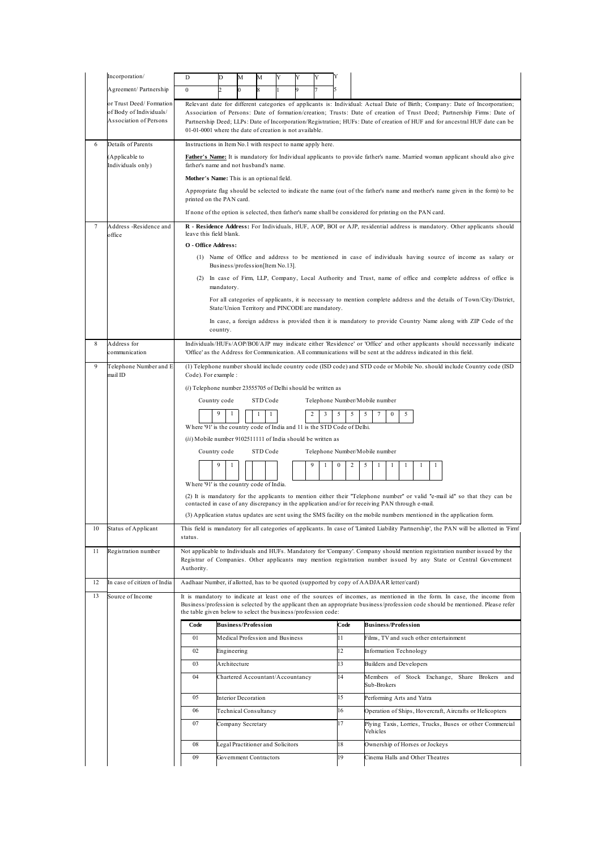|    | Incorporation/                                                               | D                                                                                                                  | D                                                                                                                                                                              | М | M                                 | Y | Y |        |          |                                              |                                                                                                                                                                                                                                                                                                                                                                                     |  |
|----|------------------------------------------------------------------------------|--------------------------------------------------------------------------------------------------------------------|--------------------------------------------------------------------------------------------------------------------------------------------------------------------------------|---|-----------------------------------|---|---|--------|----------|----------------------------------------------|-------------------------------------------------------------------------------------------------------------------------------------------------------------------------------------------------------------------------------------------------------------------------------------------------------------------------------------------------------------------------------------|--|
|    | Agreement/Partnership                                                        | $\boldsymbol{0}$                                                                                                   | 2                                                                                                                                                                              |   |                                   |   | 9 |        |          |                                              |                                                                                                                                                                                                                                                                                                                                                                                     |  |
|    | or Trust Deed/Formation<br>of Body of Individuals/<br>Association of Persons | 01-01-0001 where the date of creation is not available.                                                            |                                                                                                                                                                                |   |                                   |   |   |        |          |                                              | Relevant date for different categories of applicants is: Individual: Actual Date of Birth; Company: Date of Incorporation;<br>Association of Persons: Date of formation/creation; Trusts: Date of creation of Trust Deed; Partnership Firms: Date of<br>Partnership Deed; LLPs: Date of Incorporation/Registration; HUFs: Date of creation of HUF and for ancestral HUF date can be |  |
| 6  | Details of Parents                                                           | Instructions in Item No.1 with respect to name apply here.                                                         |                                                                                                                                                                                |   |                                   |   |   |        |          |                                              |                                                                                                                                                                                                                                                                                                                                                                                     |  |
|    | (Applicable to<br>Individuals only)                                          | father's name and not husband's name.                                                                              |                                                                                                                                                                                |   |                                   |   |   |        |          |                                              | Father's Name: It is mandatory for Individual applicants to provide father's name. Married woman applicant should also give                                                                                                                                                                                                                                                         |  |
|    |                                                                              | Mother's Name: This is an optional field.                                                                          |                                                                                                                                                                                |   |                                   |   |   |        |          |                                              | Appropriate flag should be selected to indicate the name (out of the father's name and mother's name given in the form) to be                                                                                                                                                                                                                                                       |  |
|    |                                                                              | printed on the PAN card.                                                                                           |                                                                                                                                                                                |   |                                   |   |   |        |          |                                              |                                                                                                                                                                                                                                                                                                                                                                                     |  |
|    |                                                                              |                                                                                                                    |                                                                                                                                                                                |   |                                   |   |   |        |          |                                              | If none of the option is selected, then father's name shall be considered for printing on the PAN card.                                                                                                                                                                                                                                                                             |  |
| 7  | Address -Residence and<br>office                                             | leave this field blank.<br>O - Office Address:                                                                     |                                                                                                                                                                                |   |                                   |   |   |        |          |                                              | R - Residence Address: For Individuals, HUF, AOP, BOI or AJP, residential address is mandatory. Other applicants should                                                                                                                                                                                                                                                             |  |
|    |                                                                              |                                                                                                                    |                                                                                                                                                                                |   |                                   |   |   |        |          |                                              | (1) Name of Office and address to be mentioned in case of individuals having source of income as salary or                                                                                                                                                                                                                                                                          |  |
|    |                                                                              |                                                                                                                    | Business/profession[Item No.13].                                                                                                                                               |   |                                   |   |   |        |          |                                              |                                                                                                                                                                                                                                                                                                                                                                                     |  |
|    |                                                                              |                                                                                                                    | mandatory.                                                                                                                                                                     |   |                                   |   |   |        |          |                                              | (2) In case of Firm, LLP, Company, Local Authority and Trust, name of office and complete address of office is                                                                                                                                                                                                                                                                      |  |
|    |                                                                              |                                                                                                                    |                                                                                                                                                                                |   |                                   |   |   |        |          |                                              | For all categories of applicants, it is necessary to mention complete address and the details of Town/City/District,                                                                                                                                                                                                                                                                |  |
|    |                                                                              |                                                                                                                    | State/Union Territory and PINCODE are mandatory.<br>In case, a foreign address is provided then it is mandatory to provide Country Name along with ZIP Code of the<br>country. |   |                                   |   |   |        |          |                                              |                                                                                                                                                                                                                                                                                                                                                                                     |  |
| 8  | Address for<br>communication                                                 |                                                                                                                    |                                                                                                                                                                                |   |                                   |   |   |        |          |                                              | Individuals/HUFs/AOP/BOI/AJP may indicate either 'Residence' or 'Office' and other applicants should necessarily indicate<br>'Office' as the Address for Communication. All communications will be sent at the address indicated in this field.                                                                                                                                     |  |
| 9  | Telephone Number and E<br>mail ID                                            |                                                                                                                    | (1) Telephone number should include country code (ISD code) and STD code or Mobile No. should include Country code (ISD<br>Code). For example :                                |   |                                   |   |   |        |          |                                              |                                                                                                                                                                                                                                                                                                                                                                                     |  |
|    |                                                                              |                                                                                                                    | $(i)$ Telephone number 23555705 of Delhi should be written as                                                                                                                  |   |                                   |   |   |        |          |                                              |                                                                                                                                                                                                                                                                                                                                                                                     |  |
|    |                                                                              |                                                                                                                    | Country code                                                                                                                                                                   |   | STD Code                          |   |   |        |          |                                              | Telephone Number/Mobile number                                                                                                                                                                                                                                                                                                                                                      |  |
|    |                                                                              | Where '91' is the country code of India and 11 is the STD Code of Delhi.                                           | 9<br>1                                                                                                                                                                         |   | 1<br>1                            |   |   | 2<br>3 | 5        | 5                                            | 5<br>7<br>$\mathbf{0}$<br>5                                                                                                                                                                                                                                                                                                                                                         |  |
|    |                                                                              | (ii) Mobile number 9102511111 of India should be written as                                                        |                                                                                                                                                                                |   |                                   |   |   |        |          |                                              |                                                                                                                                                                                                                                                                                                                                                                                     |  |
|    |                                                                              |                                                                                                                    | Country code                                                                                                                                                                   |   | STD Code                          |   |   |        |          |                                              | Telephone Number/Mobile number                                                                                                                                                                                                                                                                                                                                                      |  |
|    |                                                                              | Where '91' is the country code of India.                                                                           | 9                                                                                                                                                                              |   |                                   |   |   | 9<br>1 | 0        | 2                                            | 5<br>1<br>1<br>$\mathbf{1}$<br>1<br>1                                                                                                                                                                                                                                                                                                                                               |  |
|    |                                                                              |                                                                                                                    |                                                                                                                                                                                |   |                                   |   |   |        |          |                                              | (2) It is mandatory for the applicants to mention either their "Telephone number" or valid "e-mail id" so that they can be<br>contacted in case of any discrepancy in the application and/or for receiving PAN through e-mail.                                                                                                                                                      |  |
|    |                                                                              |                                                                                                                    |                                                                                                                                                                                |   |                                   |   |   |        |          |                                              | (3) Application status updates are sent using the SMS facility on the mobile numbers mentioned in the application form.                                                                                                                                                                                                                                                             |  |
| 10 | Status of Applicant                                                          | status.                                                                                                            |                                                                                                                                                                                |   |                                   |   |   |        |          |                                              | This field is mandatory for all categories of applicants. In case of 'Limited Liability Partnership', the PAN will be allotted in 'Firm'                                                                                                                                                                                                                                            |  |
| 11 | Registration number                                                          | Authority.                                                                                                         |                                                                                                                                                                                |   |                                   |   |   |        |          |                                              | Not applicable to Individuals and HUFs. Mandatory for 'Company'. Company should mention registration number issued by the<br>Registrar of Companies. Other applicants may mention registration number issued by any State or Central Government                                                                                                                                     |  |
| 12 | In case of citizen of India                                                  |                                                                                                                    |                                                                                                                                                                                |   |                                   |   |   |        |          |                                              | Aadhaar Number, if allotted, has to be quoted (supported by copy of AADJAAR letter/card)                                                                                                                                                                                                                                                                                            |  |
| 13 | Source of Income                                                             | the table given below to select the business/profession code:                                                      |                                                                                                                                                                                |   |                                   |   |   |        |          |                                              | It is mandatory to indicate at least one of the sources of incomes, as mentioned in the form. In case, the income from<br>Business/profession is selected by the applicant then an appropriate business/profession code should be mentioned. Please refer                                                                                                                           |  |
|    |                                                                              | Code                                                                                                               | <b>Business/Profession</b>                                                                                                                                                     |   |                                   |   |   |        | Code     |                                              | <b>Business/Profession</b>                                                                                                                                                                                                                                                                                                                                                          |  |
|    |                                                                              | 01                                                                                                                 |                                                                                                                                                                                |   | Medical Profession and Business   |   |   |        | 11       |                                              | Films, TV and such other entertainment                                                                                                                                                                                                                                                                                                                                              |  |
|    |                                                                              | 02                                                                                                                 | Engineering                                                                                                                                                                    |   |                                   |   |   |        | 12       |                                              | Information Technology                                                                                                                                                                                                                                                                                                                                                              |  |
|    |                                                                              | 13<br>03<br>Architecture<br>Builders and Developers<br>14<br>04<br>Chartered Accountant/Accountancy<br>Sub-Brokers |                                                                                                                                                                                |   |                                   |   |   |        |          |                                              |                                                                                                                                                                                                                                                                                                                                                                                     |  |
|    |                                                                              |                                                                                                                    |                                                                                                                                                                                |   |                                   |   |   |        |          | Members of Stock Exchange, Share Brokers and |                                                                                                                                                                                                                                                                                                                                                                                     |  |
|    |                                                                              | 05                                                                                                                 | Interior Decoration                                                                                                                                                            |   |                                   |   |   |        | 15       |                                              | Performing Arts and Yatra                                                                                                                                                                                                                                                                                                                                                           |  |
|    |                                                                              | 06<br>07                                                                                                           |                                                                                                                                                                                |   | Technical Consultancy             |   |   |        | 16<br>17 |                                              | Operation of Ships, Hovercraft, Aircrafts or Helicopters                                                                                                                                                                                                                                                                                                                            |  |
|    |                                                                              |                                                                                                                    | Company Secretary                                                                                                                                                              |   |                                   |   |   |        |          |                                              | Plying Taxis, Lorries, Trucks, Buses or other Commercial<br>Vehicles                                                                                                                                                                                                                                                                                                                |  |
|    |                                                                              | 08                                                                                                                 |                                                                                                                                                                                |   | Legal Practitioner and Solicitors |   |   |        | 18       |                                              | Ownership of Horses or Jockeys                                                                                                                                                                                                                                                                                                                                                      |  |
|    |                                                                              | 09                                                                                                                 |                                                                                                                                                                                |   | Government Contractors            |   |   |        | 19       |                                              | Cinema Halls and Other Theatres                                                                                                                                                                                                                                                                                                                                                     |  |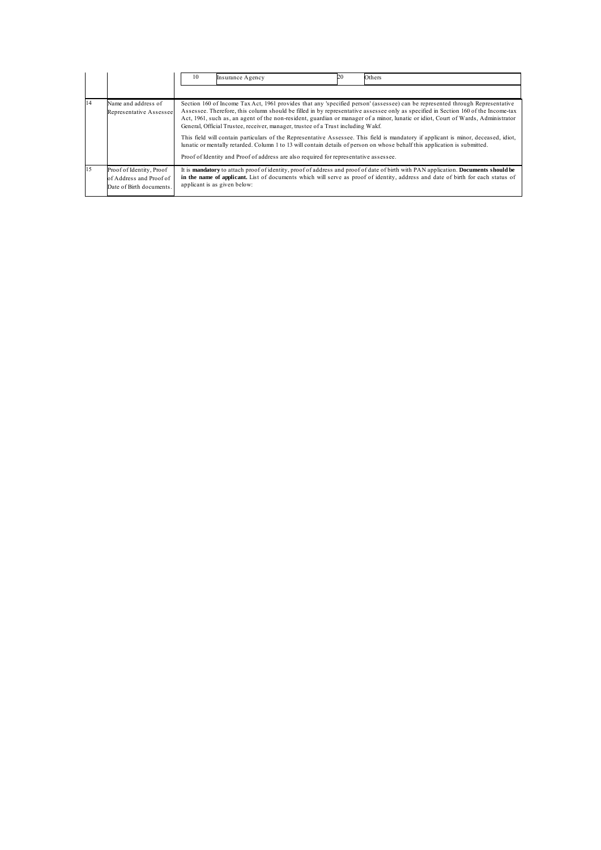|    |                                                                                 | 20<br>10<br>Others<br>Insurance Agency                                                                                                                                                                                                                                                                                                                                                                                                                                                                                                                                                                                                                                                                                                                                                                                                                     |
|----|---------------------------------------------------------------------------------|------------------------------------------------------------------------------------------------------------------------------------------------------------------------------------------------------------------------------------------------------------------------------------------------------------------------------------------------------------------------------------------------------------------------------------------------------------------------------------------------------------------------------------------------------------------------------------------------------------------------------------------------------------------------------------------------------------------------------------------------------------------------------------------------------------------------------------------------------------|
|    |                                                                                 |                                                                                                                                                                                                                                                                                                                                                                                                                                                                                                                                                                                                                                                                                                                                                                                                                                                            |
| 14 | Name and address of<br>Representative Assessee                                  | Section 160 of Income Tax Act, 1961 provides that any 'specified person' (assessee) can be represented through Representative<br>Assessee. Therefore, this column should be filled in by representative assessee only as specified in Section 160 of the Income-tax<br>Act, 1961, such as, an agent of the non-resident, guardian or manager of a minor, lunatic or idiot, Court of Wards, Administrator<br>General, Official Trustee, receiver, manager, trustee of a Trust including Wakf.<br>This field will contain particulars of the Representative Assessee. This field is mandatory if applicant is minor, deceased, idiot,<br>lunatic or mentally retarded. Column 1 to 13 will contain details of person on whose behalf this application is submitted.<br>Proof of Identity and Proof of address are also required for representative assessee. |
| 15 | Proof of Identity, Proof<br>of Address and Proof of<br>Date of Birth documents. | It is <b>mandatory</b> to attach proof of identity, proof of address and proof of date of birth with PAN application. <b>Documents should be</b><br>in the name of applicant. List of documents which will serve as proof of identity, address and date of birth for each status of<br>applicant is as given below:                                                                                                                                                                                                                                                                                                                                                                                                                                                                                                                                        |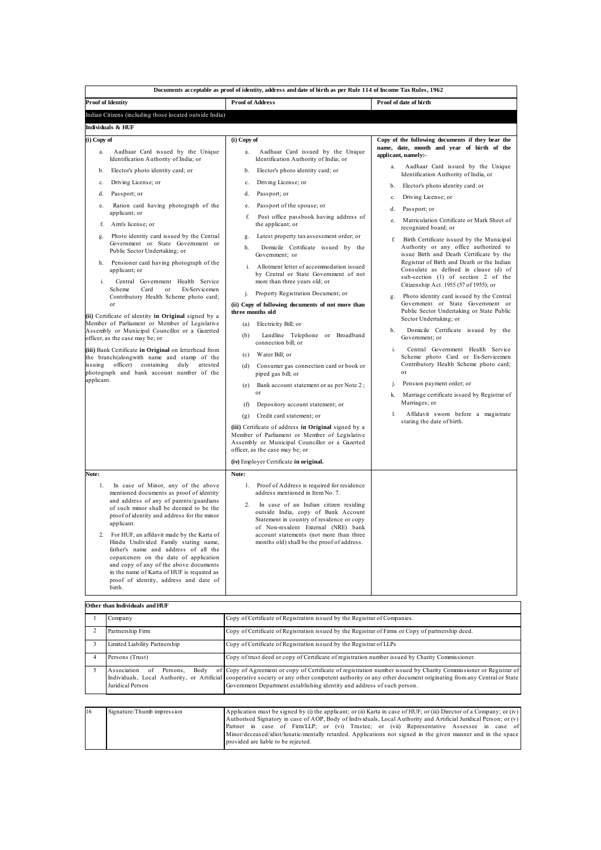|             | Documents acceptable as proof of identity, address and date of birth as per Rule 114 of Income Tax Rules, 1962                                                                                                                                                                                                                                                                                                                                                                                                                                          |                                                                                                                                                                                                                                                                                                                                                         |                                                                                                                                                                      |
|-------------|---------------------------------------------------------------------------------------------------------------------------------------------------------------------------------------------------------------------------------------------------------------------------------------------------------------------------------------------------------------------------------------------------------------------------------------------------------------------------------------------------------------------------------------------------------|---------------------------------------------------------------------------------------------------------------------------------------------------------------------------------------------------------------------------------------------------------------------------------------------------------------------------------------------------------|----------------------------------------------------------------------------------------------------------------------------------------------------------------------|
|             | <b>Proof of Identity</b>                                                                                                                                                                                                                                                                                                                                                                                                                                                                                                                                | <b>Proof of Address</b>                                                                                                                                                                                                                                                                                                                                 | Proof of date of birth                                                                                                                                               |
|             | Indian Citizens (including those located outside India)                                                                                                                                                                                                                                                                                                                                                                                                                                                                                                 |                                                                                                                                                                                                                                                                                                                                                         |                                                                                                                                                                      |
|             | Individuals & HUF                                                                                                                                                                                                                                                                                                                                                                                                                                                                                                                                       |                                                                                                                                                                                                                                                                                                                                                         |                                                                                                                                                                      |
| (i) Copy of |                                                                                                                                                                                                                                                                                                                                                                                                                                                                                                                                                         | (i) Copy of                                                                                                                                                                                                                                                                                                                                             | Copy of the following documents if they bear the                                                                                                                     |
| a.          | Aadhaar Card issued by the Unique<br>Identification Authority of India; or                                                                                                                                                                                                                                                                                                                                                                                                                                                                              | Aadhaar Card issued by the Unique<br>a.<br>Identification Authority of India; or                                                                                                                                                                                                                                                                        | name, date, month and year of birth of the<br>applicant, namely:-                                                                                                    |
| b.          | Elector's photo identity card; or                                                                                                                                                                                                                                                                                                                                                                                                                                                                                                                       | Elector's photo identity card; or<br>b.                                                                                                                                                                                                                                                                                                                 | Aadhaar Card issued by the Unique<br>a.<br>Identification Authority of India, or                                                                                     |
| c.          | Driving License; or                                                                                                                                                                                                                                                                                                                                                                                                                                                                                                                                     | Driving License; or<br>$c_{-}$                                                                                                                                                                                                                                                                                                                          | Elector's photo identity card: or<br>b.                                                                                                                              |
| d.          | Passport; or                                                                                                                                                                                                                                                                                                                                                                                                                                                                                                                                            | Passport; or<br>d.                                                                                                                                                                                                                                                                                                                                      | Driving License; or<br>c.                                                                                                                                            |
| e.          | Ration card having photograph of the                                                                                                                                                                                                                                                                                                                                                                                                                                                                                                                    | Passport of the spouse; or<br>e.                                                                                                                                                                                                                                                                                                                        | Passport; or<br>d.                                                                                                                                                   |
| f.          | applicant; or<br>Arm's license; or                                                                                                                                                                                                                                                                                                                                                                                                                                                                                                                      | f.<br>Post office passbook having address of<br>the applicant; or                                                                                                                                                                                                                                                                                       | Matriculation Certificate or Mark Sheet of<br>recognized board; or                                                                                                   |
| g.          | Photo identity card issued by the Central                                                                                                                                                                                                                                                                                                                                                                                                                                                                                                               | Latest property tax assessment order; or<br>g.                                                                                                                                                                                                                                                                                                          | Birth Certificate issued by the Municipal<br>f.                                                                                                                      |
|             | Government or State Government or<br>Public Sector Undertaking; or                                                                                                                                                                                                                                                                                                                                                                                                                                                                                      | Domicile Certificate issued by the<br>h<br>Government; or                                                                                                                                                                                                                                                                                               | Authority or any office authorized to<br>issue Birth and Death Certificate by the                                                                                    |
| i.          | h. Pensioner card having photograph of the<br>applicant; or<br>Central Government Health Service                                                                                                                                                                                                                                                                                                                                                                                                                                                        | i. Allotment letter of accommodation issued<br>by Central or State Government of not<br>more than three years old; or                                                                                                                                                                                                                                   | Registrar of Birth and Death or the Indian<br>Consulate as defined in clause (d) of<br>sub-section (1) of section 2 of the<br>Citizenship Act. 1955 (57 of 1955); or |
|             | Scheme<br>Card<br>or<br>Ex-Servicemen<br>Contributory Health Scheme photo card;                                                                                                                                                                                                                                                                                                                                                                                                                                                                         | Property Registration Document; or<br>i.                                                                                                                                                                                                                                                                                                                | Photo identity card issued by the Central<br>g.                                                                                                                      |
|             | or<br>(ii) Certificate of identity in Original signed by a                                                                                                                                                                                                                                                                                                                                                                                                                                                                                              | (ii) Copy of following documents of not more than<br>three months old                                                                                                                                                                                                                                                                                   | Government or State Government or<br>Public Sector Undertaking or State Public                                                                                       |
|             | Member of Parliament or Member of Legislative                                                                                                                                                                                                                                                                                                                                                                                                                                                                                                           | (a) Electricity Bill; or                                                                                                                                                                                                                                                                                                                                | Sector Undertaking; or                                                                                                                                               |
|             | Assembly or Municipal Councillor or a Gazetted<br>officer, as the case may be; or                                                                                                                                                                                                                                                                                                                                                                                                                                                                       | Landline Telephone or Broadband<br>(b)<br>connection bill; or                                                                                                                                                                                                                                                                                           | Domicile Certificate issued by the<br>h<br>Government: or                                                                                                            |
|             | (iii) Bank Certificate in Original on letterhead from<br>the branch(alongwith name and stamp of the                                                                                                                                                                                                                                                                                                                                                                                                                                                     | (c) Water Bill; or                                                                                                                                                                                                                                                                                                                                      | i.<br>Central Government Health Service<br>Scheme photo Card or Ex-Servicemen                                                                                        |
|             | issuing officer) containing duly attested<br>photograph and bank account number of the                                                                                                                                                                                                                                                                                                                                                                                                                                                                  | (d) Consumer gas connection card or book or<br>piped gas bill; or                                                                                                                                                                                                                                                                                       | Contributory Health Scheme photo card;<br>or                                                                                                                         |
| applicant.  |                                                                                                                                                                                                                                                                                                                                                                                                                                                                                                                                                         | Bank account statement or as per Note 2;<br>(e)                                                                                                                                                                                                                                                                                                         | j. Pension payment order; or                                                                                                                                         |
|             |                                                                                                                                                                                                                                                                                                                                                                                                                                                                                                                                                         | $_{0}r$<br>Depository account statement; or<br>(f)                                                                                                                                                                                                                                                                                                      | k. Marriage certificate issued by Registrar of<br>Marriages; or                                                                                                      |
|             |                                                                                                                                                                                                                                                                                                                                                                                                                                                                                                                                                         | Credit card statement; or<br>(g)                                                                                                                                                                                                                                                                                                                        | $\mathbf{L}$<br>Affidavit sworn before a magistrate                                                                                                                  |
|             |                                                                                                                                                                                                                                                                                                                                                                                                                                                                                                                                                         | (iii) Certificate of address in Original signed by a<br>Member of Parliament or Member of Legislative<br>Assembly or Municipal Councillor or a Gazetted<br>officer, as the case may be; or                                                                                                                                                              | stating the date of birth.                                                                                                                                           |
|             |                                                                                                                                                                                                                                                                                                                                                                                                                                                                                                                                                         | (iv) Employer Certificate in original.                                                                                                                                                                                                                                                                                                                  |                                                                                                                                                                      |
| Note:       |                                                                                                                                                                                                                                                                                                                                                                                                                                                                                                                                                         | Note:                                                                                                                                                                                                                                                                                                                                                   |                                                                                                                                                                      |
| 1.          | In case of Minor, any of the above<br>mentioned documents as proof of identity<br>and address of any of parents/guardians<br>of such minor shall be deemed to be the<br>proof of identity and address for the minor<br>applicant.<br>2. For HUF, an affdavit made by the Karta of<br>Hindu Undivided Family stating name,<br>father's name and address of all the<br>coparceners on the date of application<br>and copy of any of the above documents<br>in the name of Karta of HUF is required as<br>proof of identity, address and date of<br>birth. | Proof of Address is required for residence<br>1.<br>address mentioned in Item No. 7.<br>2.<br>In case of an Indian citizen residing<br>outside India, copy of Bank Account<br>Statement in country of residence or copy<br>of Non-resident External (NRE) bank<br>account statements (not more than three<br>months old) shall be the proof of address. |                                                                                                                                                                      |

## **Other than Individuals and HUF**

| Company                                                   | Copy of Certificate of Registration issued by the Registrar of Companies.                                                                                                                                                                                                                                                                                    |
|-----------------------------------------------------------|--------------------------------------------------------------------------------------------------------------------------------------------------------------------------------------------------------------------------------------------------------------------------------------------------------------------------------------------------------------|
| Partnership Firm                                          | Copy of Certificate of Registration issued by the Registrar of Firms or Copy of partnership deed.                                                                                                                                                                                                                                                            |
| Limited Liability Partnership                             | Copy of Certificate of Registration issued by the Registrar of LLPs                                                                                                                                                                                                                                                                                          |
| Persons (Trust)                                           | Copy of trust deed or copy of Certificate of registration number issued by Charity Commissioner.                                                                                                                                                                                                                                                             |
| Association<br>Body<br>of<br>Persons,<br>Juridical Person | of Copy of Agreement or copy of Certificate of registration number issued by Charity Commissioner or Registrar of<br>Individuals, Local Authority, or Artificial cooperative society or any other competent authority or any other document originating from any Central or State<br>Government Department establishing identity and address of such person. |

٦

| 16 | Signature/Thumb impression | Application must be signed by (i) the applicant; or (ii) Karta in case of HUF; or (iii) Director of a Company; or (iv) |
|----|----------------------------|------------------------------------------------------------------------------------------------------------------------|
|    |                            | Authorised Signatory in case of AOP, Body of Individuals, Local Authority and Artificial Juridical Person; or (v)      |
|    |                            | Partner in case of Firm/LLP; or (vi) Trustee; or (vii) Representative Assessee in case of                              |
|    |                            | Minor/deceased/idiot/lunatic/mentally retarded. Applications not signed in the given manner and in the space           |
|    |                            | provided are liable to be rejected.                                                                                    |
|    |                            |                                                                                                                        |